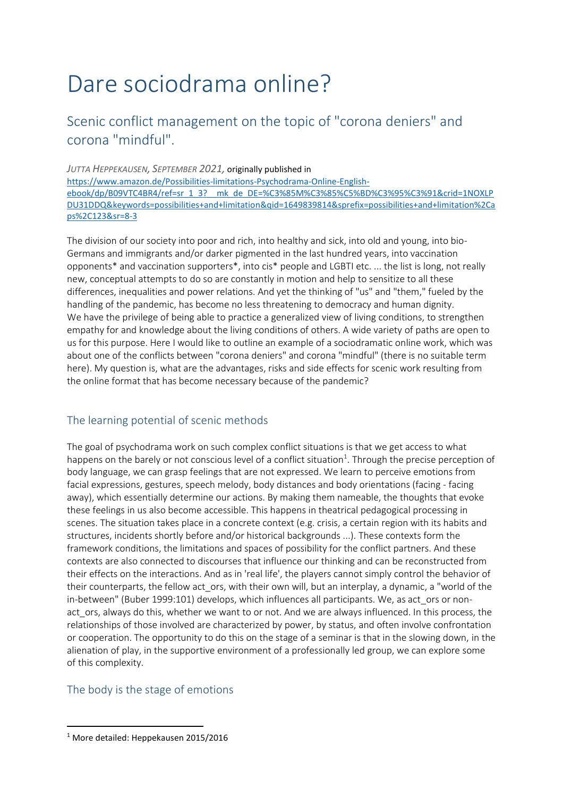# Dare sociodrama online?

## Scenic conflict management on the topic of "corona deniers" and corona "mindful".

*JUTTA HEPPEKAUSEN, SEPTEMBER 2021,* originally published in https://www.amazon.de/Possibilities-limitations-Psychodrama-Online-Englishebook/dp/B09VTC4BR4/ref=sr\_1\_3?\_\_mk\_de\_DE=%C3%85M%C3%85%C5%BD%C3%95%C3%91&crid=1NOXLP DU31DDQ&keywords=possibilities+and+limitation&qid=1649839814&sprefix=possibilities+and+limitation%2Ca ps%2C123&sr=8-3

The division of our society into poor and rich, into healthy and sick, into old and young, into bio-Germans and immigrants and/or darker pigmented in the last hundred years, into vaccination opponents\* and vaccination supporters\*, into cis\* people and LGBTI etc. ... the list is long, not really new, conceptual attempts to do so are constantly in motion and help to sensitize to all these differences, inequalities and power relations. And yet the thinking of "us" and "them," fueled by the handling of the pandemic, has become no less threatening to democracy and human dignity. We have the privilege of being able to practice a generalized view of living conditions, to strengthen empathy for and knowledge about the living conditions of others. A wide variety of paths are open to us for this purpose. Here I would like to outline an example of a sociodramatic online work, which was about one of the conflicts between "corona deniers" and corona "mindful" (there is no suitable term here). My question is, what are the advantages, risks and side effects for scenic work resulting from the online format that has become necessary because of the pandemic?

## The learning potential of scenic methods

The goal of psychodrama work on such complex conflict situations is that we get access to what happens on the barely or not conscious level of a conflict situation<sup>1</sup>. Through the precise perception of body language, we can grasp feelings that are not expressed. We learn to perceive emotions from facial expressions, gestures, speech melody, body distances and body orientations (facing - facing away), which essentially determine our actions. By making them nameable, the thoughts that evoke these feelings in us also become accessible. This happens in theatrical pedagogical processing in scenes. The situation takes place in a concrete context (e.g. crisis, a certain region with its habits and structures, incidents shortly before and/or historical backgrounds ...). These contexts form the framework conditions, the limitations and spaces of possibility for the conflict partners. And these contexts are also connected to discourses that influence our thinking and can be reconstructed from their effects on the interactions. And as in 'real life', the players cannot simply control the behavior of their counterparts, the fellow act\_ors, with their own will, but an interplay, a dynamic, a "world of the in-between" (Buber 1999:101) develops, which influences all participants. We, as act\_ors or nonact ors, always do this, whether we want to or not. And we are always influenced. In this process, the relationships of those involved are characterized by power, by status, and often involve confrontation or cooperation. The opportunity to do this on the stage of a seminar is that in the slowing down, in the alienation of play, in the supportive environment of a professionally led group, we can explore some of this complexity.

## The body is the stage of emotions

.

<sup>1</sup> More detailed: Heppekausen 2015/2016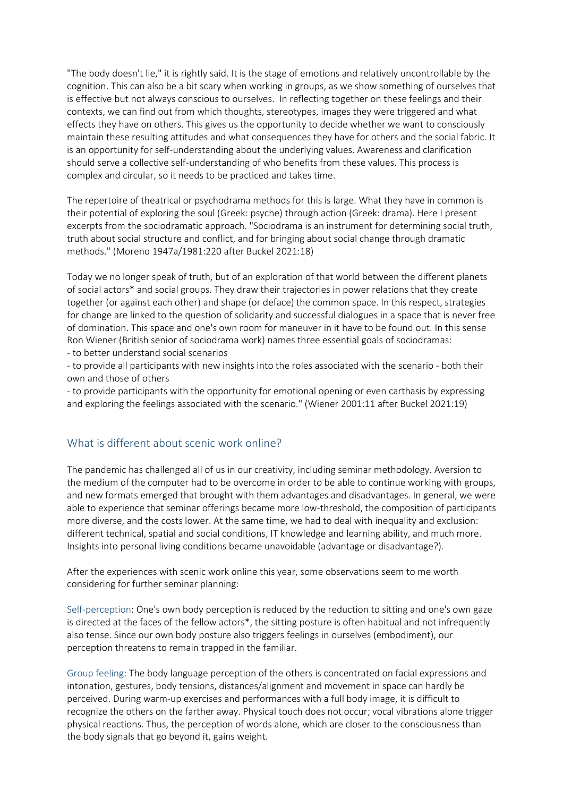"The body doesn't lie," it is rightly said. It is the stage of emotions and relatively uncontrollable by the cognition. This can also be a bit scary when working in groups, as we show something of ourselves that is effective but not always conscious to ourselves. In reflecting together on these feelings and their contexts, we can find out from which thoughts, stereotypes, images they were triggered and what effects they have on others. This gives us the opportunity to decide whether we want to consciously maintain these resulting attitudes and what consequences they have for others and the social fabric. It is an opportunity for self-understanding about the underlying values. Awareness and clarification should serve a collective self-understanding of who benefits from these values. This process is complex and circular, so it needs to be practiced and takes time.

The repertoire of theatrical or psychodrama methods for this is large. What they have in common is their potential of exploring the soul (Greek: psyche) through action (Greek: drama). Here I present excerpts from the sociodramatic approach. "Sociodrama is an instrument for determining social truth, truth about social structure and conflict, and for bringing about social change through dramatic methods." (Moreno 1947a/1981:220 after Buckel 2021:18)

Today we no longer speak of truth, but of an exploration of that world between the different planets of social actors\* and social groups. They draw their trajectories in power relations that they create together (or against each other) and shape (or deface) the common space. In this respect, strategies for change are linked to the question of solidarity and successful dialogues in a space that is never free of domination. This space and one's own room for maneuver in it have to be found out. In this sense Ron Wiener (British senior of sociodrama work) names three essential goals of sociodramas:

- to better understand social scenarios

- to provide all participants with new insights into the roles associated with the scenario - both their own and those of others

- to provide participants with the opportunity for emotional opening or even carthasis by expressing and exploring the feelings associated with the scenario." (Wiener 2001:11 after Buckel 2021:19)

## What is different about scenic work online?

The pandemic has challenged all of us in our creativity, including seminar methodology. Aversion to the medium of the computer had to be overcome in order to be able to continue working with groups, and new formats emerged that brought with them advantages and disadvantages. In general, we were able to experience that seminar offerings became more low-threshold, the composition of participants more diverse, and the costs lower. At the same time, we had to deal with inequality and exclusion: different technical, spatial and social conditions, IT knowledge and learning ability, and much more. Insights into personal living conditions became unavoidable (advantage or disadvantage?).

After the experiences with scenic work online this year, some observations seem to me worth considering for further seminar planning:

Self-perception: One's own body perception is reduced by the reduction to sitting and one's own gaze is directed at the faces of the fellow actors\*, the sitting posture is often habitual and not infrequently also tense. Since our own body posture also triggers feelings in ourselves (embodiment), our perception threatens to remain trapped in the familiar.

Group feeling: The body language perception of the others is concentrated on facial expressions and intonation, gestures, body tensions, distances/alignment and movement in space can hardly be perceived. During warm-up exercises and performances with a full body image, it is difficult to recognize the others on the farther away. Physical touch does not occur; vocal vibrations alone trigger physical reactions. Thus, the perception of words alone, which are closer to the consciousness than the body signals that go beyond it, gains weight.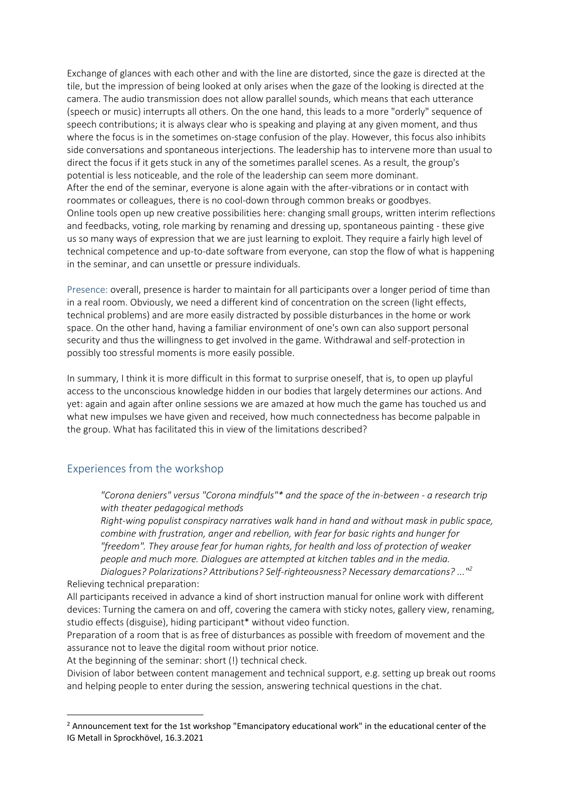Exchange of glances with each other and with the line are distorted, since the gaze is directed at the tile, but the impression of being looked at only arises when the gaze of the looking is directed at the camera. The audio transmission does not allow parallel sounds, which means that each utterance (speech or music) interrupts all others. On the one hand, this leads to a more "orderly" sequence of speech contributions; it is always clear who is speaking and playing at any given moment, and thus where the focus is in the sometimes on-stage confusion of the play. However, this focus also inhibits side conversations and spontaneous interjections. The leadership has to intervene more than usual to direct the focus if it gets stuck in any of the sometimes parallel scenes. As a result, the group's potential is less noticeable, and the role of the leadership can seem more dominant. After the end of the seminar, everyone is alone again with the after-vibrations or in contact with roommates or colleagues, there is no cool-down through common breaks or goodbyes. Online tools open up new creative possibilities here: changing small groups, written interim reflections and feedbacks, voting, role marking by renaming and dressing up, spontaneous painting - these give us so many ways of expression that we are just learning to exploit. They require a fairly high level of technical competence and up-to-date software from everyone, can stop the flow of what is happening in the seminar, and can unsettle or pressure individuals.

Presence: overall, presence is harder to maintain for all participants over a longer period of time than in a real room. Obviously, we need a different kind of concentration on the screen (light effects, technical problems) and are more easily distracted by possible disturbances in the home or work space. On the other hand, having a familiar environment of one's own can also support personal security and thus the willingness to get involved in the game. Withdrawal and self-protection in possibly too stressful moments is more easily possible.

In summary, I think it is more difficult in this format to surprise oneself, that is, to open up playful access to the unconscious knowledge hidden in our bodies that largely determines our actions. And yet: again and again after online sessions we are amazed at how much the game has touched us and what new impulses we have given and received, how much connectedness has become palpable in the group. What has facilitated this in view of the limitations described?

## Experiences from the workshop

.

*"Corona deniers" versus "Corona mindfuls"\* and the space of the in-between - a research trip with theater pedagogical methods* 

*Right-wing populist conspiracy narratives walk hand in hand and without mask in public space, combine with frustration, anger and rebellion, with fear for basic rights and hunger for "freedom". They arouse fear for human rights, for health and loss of protection of weaker people and much more. Dialogues are attempted at kitchen tables and in the media.* 

*Dialogues? Polarizations? Attributions? Self-righteousness? Necessary demarcations? ..."<sup>2</sup>*  Relieving technical preparation:

All participants received in advance a kind of short instruction manual for online work with different devices: Turning the camera on and off, covering the camera with sticky notes, gallery view, renaming, studio effects (disguise), hiding participant\* without video function.

Preparation of a room that is as free of disturbances as possible with freedom of movement and the assurance not to leave the digital room without prior notice.

At the beginning of the seminar: short (!) technical check.

Division of labor between content management and technical support, e.g. setting up break out rooms and helping people to enter during the session, answering technical questions in the chat.

<sup>&</sup>lt;sup>2</sup> Announcement text for the 1st workshop "Emancipatory educational work" in the educational center of the IG Metall in Sprockhövel, 16.3.2021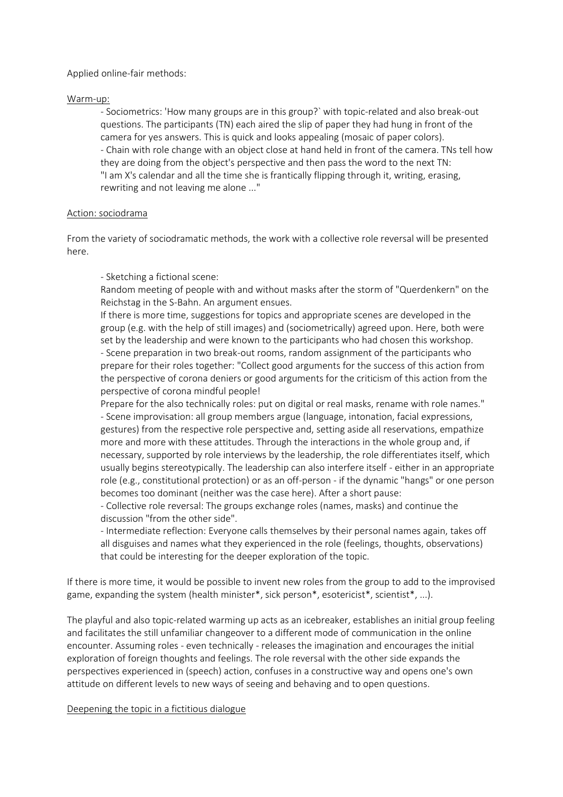#### Applied online-fair methods:

#### Warm-up:

- Sociometrics: 'How many groups are in this group?` with topic-related and also break-out questions. The participants (TN) each aired the slip of paper they had hung in front of the camera for yes answers. This is quick and looks appealing (mosaic of paper colors). - Chain with role change with an object close at hand held in front of the camera. TNs tell how they are doing from the object's perspective and then pass the word to the next TN: "I am X's calendar and all the time she is frantically flipping through it, writing, erasing, rewriting and not leaving me alone ..."

#### Action: sociodrama

From the variety of sociodramatic methods, the work with a collective role reversal will be presented here.

#### - Sketching a fictional scene:

Random meeting of people with and without masks after the storm of "Querdenkern" on the Reichstag in the S-Bahn. An argument ensues.

If there is more time, suggestions for topics and appropriate scenes are developed in the group (e.g. with the help of still images) and (sociometrically) agreed upon. Here, both were set by the leadership and were known to the participants who had chosen this workshop. - Scene preparation in two break-out rooms, random assignment of the participants who prepare for their roles together: "Collect good arguments for the success of this action from the perspective of corona deniers or good arguments for the criticism of this action from the perspective of corona mindful people!

Prepare for the also technically roles: put on digital or real masks, rename with role names." - Scene improvisation: all group members argue (language, intonation, facial expressions, gestures) from the respective role perspective and, setting aside all reservations, empathize more and more with these attitudes. Through the interactions in the whole group and, if necessary, supported by role interviews by the leadership, the role differentiates itself, which usually begins stereotypically. The leadership can also interfere itself - either in an appropriate role (e.g., constitutional protection) or as an off-person - if the dynamic "hangs" or one person becomes too dominant (neither was the case here). After a short pause:

- Collective role reversal: The groups exchange roles (names, masks) and continue the discussion "from the other side".

- Intermediate reflection: Everyone calls themselves by their personal names again, takes off all disguises and names what they experienced in the role (feelings, thoughts, observations) that could be interesting for the deeper exploration of the topic.

If there is more time, it would be possible to invent new roles from the group to add to the improvised game, expanding the system (health minister\*, sick person\*, esotericist\*, scientist\*, ...).

The playful and also topic-related warming up acts as an icebreaker, establishes an initial group feeling and facilitates the still unfamiliar changeover to a different mode of communication in the online encounter. Assuming roles - even technically - releases the imagination and encourages the initial exploration of foreign thoughts and feelings. The role reversal with the other side expands the perspectives experienced in (speech) action, confuses in a constructive way and opens one's own attitude on different levels to new ways of seeing and behaving and to open questions.

#### Deepening the topic in a fictitious dialogue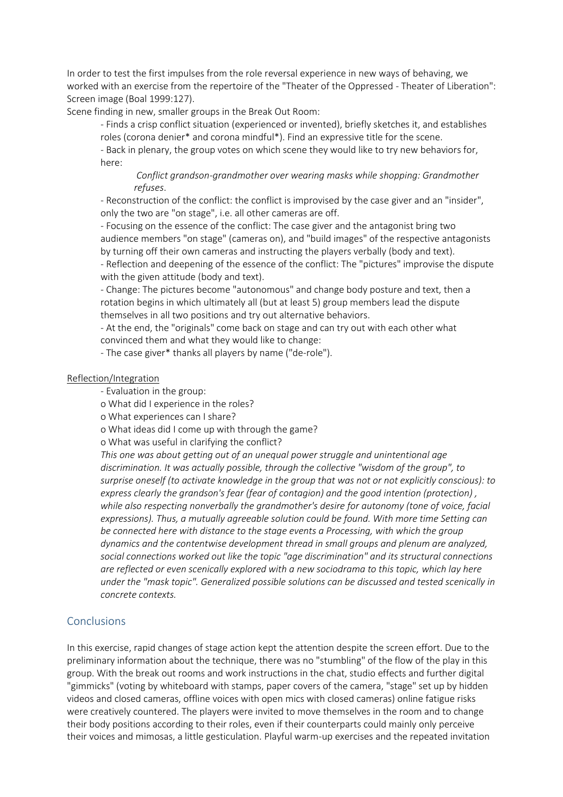In order to test the first impulses from the role reversal experience in new ways of behaving, we worked with an exercise from the repertoire of the "Theater of the Oppressed - Theater of Liberation": Screen image (Boal 1999:127).

Scene finding in new, smaller groups in the Break Out Room:

- Finds a crisp conflict situation (experienced or invented), briefly sketches it, and establishes roles (corona denier\* and corona mindful\*). Find an expressive title for the scene.

- Back in plenary, the group votes on which scene they would like to try new behaviors for, here:

*Conflict grandson-grandmother over wearing masks while shopping: Grandmother refuses*.

- Reconstruction of the conflict: the conflict is improvised by the case giver and an "insider", only the two are "on stage", i.e. all other cameras are off.

- Focusing on the essence of the conflict: The case giver and the antagonist bring two audience members "on stage" (cameras on), and "build images" of the respective antagonists by turning off their own cameras and instructing the players verbally (body and text).

- Reflection and deepening of the essence of the conflict: The "pictures" improvise the dispute with the given attitude (body and text).

- Change: The pictures become "autonomous" and change body posture and text, then a rotation begins in which ultimately all (but at least 5) group members lead the dispute themselves in all two positions and try out alternative behaviors.

- At the end, the "originals" come back on stage and can try out with each other what convinced them and what they would like to change:

- The case giver\* thanks all players by name ("de-role").

#### Reflection/Integration

- Evaluation in the group:
- o What did I experience in the roles?

o What experiences can I share?

o What ideas did I come up with through the game?

o What was useful in clarifying the conflict?

*This one was about getting out of an unequal power struggle and unintentional age discrimination. It was actually possible, through the collective "wisdom of the group", to surprise oneself (to activate knowledge in the group that was not or not explicitly conscious): to express clearly the grandson's fear (fear of contagion) and the good intention (protection) , while also respecting nonverbally the grandmother's desire for autonomy (tone of voice, facial expressions). Thus, a mutually agreeable solution could be found. With more time Setting can be connected here with distance to the stage events a Processing, with which the group dynamics and the contentwise development thread in small groups and plenum are analyzed, social connections worked out like the topic "age discrimination" and its structural connections are reflected or even scenically explored with a new sociodrama to this topic, which lay here under the "mask topic". Generalized possible solutions can be discussed and tested scenically in concrete contexts.* 

## Conclusions

In this exercise, rapid changes of stage action kept the attention despite the screen effort. Due to the preliminary information about the technique, there was no "stumbling" of the flow of the play in this group. With the break out rooms and work instructions in the chat, studio effects and further digital "gimmicks" (voting by whiteboard with stamps, paper covers of the camera, "stage" set up by hidden videos and closed cameras, offline voices with open mics with closed cameras) online fatigue risks were creatively countered. The players were invited to move themselves in the room and to change their body positions according to their roles, even if their counterparts could mainly only perceive their voices and mimosas, a little gesticulation. Playful warm-up exercises and the repeated invitation